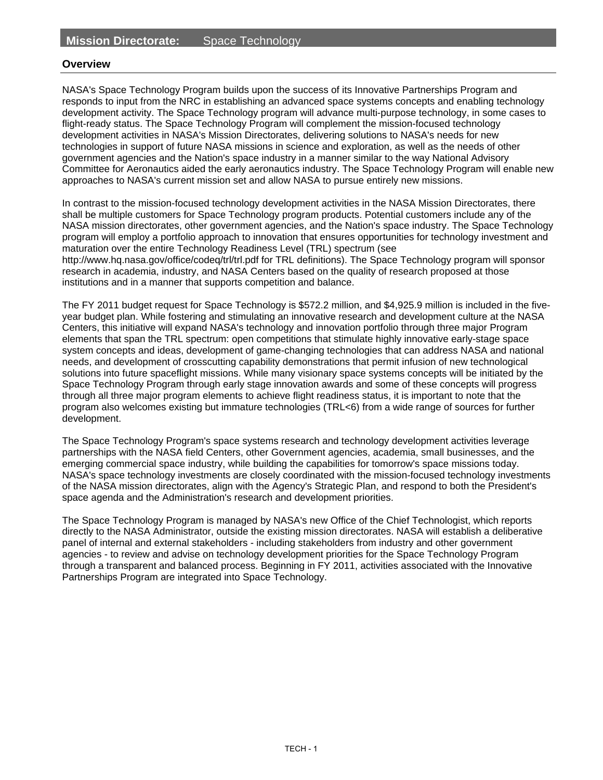#### **Overview**

NASA's Space Technology Program builds upon the success of its Innovative Partnerships Program and responds to input from the NRC in establishing an advanced space systems concepts and enabling technology development activity. The Space Technology program will advance multi-purpose technology, in some cases to flight-ready status. The Space Technology Program will complement the mission-focused technology development activities in NASA's Mission Directorates, delivering solutions to NASA's needs for new technologies in support of future NASA missions in science and exploration, as well as the needs of other government agencies and the Nation's space industry in a manner similar to the way National Advisory Committee for Aeronautics aided the early aeronautics industry. The Space Technology Program will enable new approaches to NASA's current mission set and allow NASA to pursue entirely new missions.

In contrast to the mission-focused technology development activities in the NASA Mission Directorates, there shall be multiple customers for Space Technology program products. Potential customers include any of the NASA mission directorates, other government agencies, and the Nation's space industry. The Space Technology program will employ a portfolio approach to innovation that ensures opportunities for technology investment and maturation over the entire Technology Readiness Level (TRL) spectrum (see http://www.hq.nasa.gov/office/codeq/trl/trl.pdf for TRL definitions). The Space Technology program will sponsor research in academia, industry, and NASA Centers based on the quality of research proposed at those institutions and in a manner that supports competition and balance.

The FY 2011 budget request for Space Technology is \$572.2 million, and \$4,925.9 million is included in the fiveyear budget plan. While fostering and stimulating an innovative research and development culture at the NASA Centers, this initiative will expand NASA's technology and innovation portfolio through three major Program elements that span the TRL spectrum: open competitions that stimulate highly innovative early-stage space system concepts and ideas, development of game-changing technologies that can address NASA and national needs, and development of crosscutting capability demonstrations that permit infusion of new technological solutions into future spaceflight missions. While many visionary space systems concepts will be initiated by the Space Technology Program through early stage innovation awards and some of these concepts will progress through all three major program elements to achieve flight readiness status, it is important to note that the program also welcomes existing but immature technologies (TRL<6) from a wide range of sources for further development.

The Space Technology Program's space systems research and technology development activities leverage partnerships with the NASA field Centers, other Government agencies, academia, small businesses, and the emerging commercial space industry, while building the capabilities for tomorrow's space missions today. NASA's space technology investments are closely coordinated with the mission-focused technology investments of the NASA mission directorates, align with the Agency's Strategic Plan, and respond to both the President's space agenda and the Administration's research and development priorities.

The Space Technology Program is managed by NASA's new Office of the Chief Technologist, which reports directly to the NASA Administrator, outside the existing mission directorates. NASA will establish a deliberative panel of internal and external stakeholders - including stakeholders from industry and other government agencies - to review and advise on technology development priorities for the Space Technology Program through a transparent and balanced process. Beginning in FY 2011, activities associated with the Innovative Partnerships Program are integrated into Space Technology.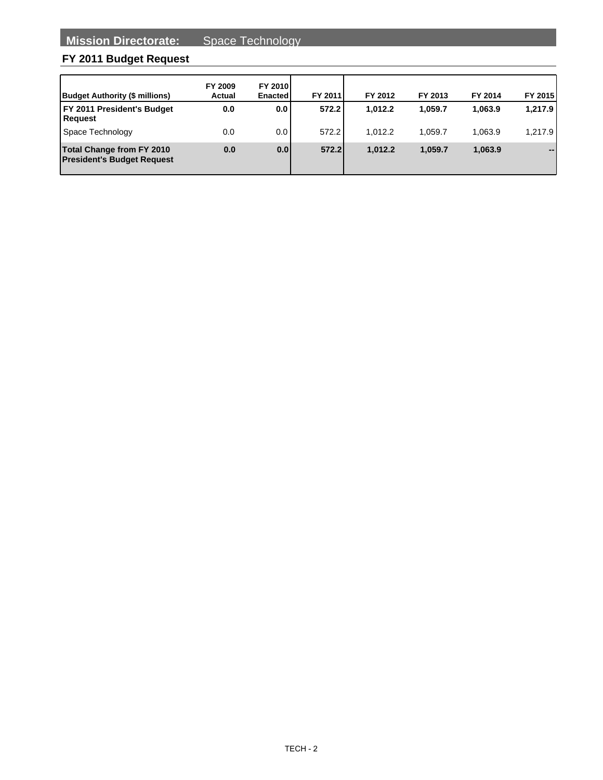| <b>Budget Authority (\$ millions)</b>                                 | FY 2009<br><b>Actual</b> | <b>FY 2010</b><br>Enacted | FY 2011 | FY 2012 | FY 2013 | FY 2014 | FY 2015 |
|-----------------------------------------------------------------------|--------------------------|---------------------------|---------|---------|---------|---------|---------|
| <b>FY 2011 President's Budget</b><br><b>Request</b>                   | 0.0                      | 0.0                       | 572.2   | 1.012.2 | 1.059.7 | 1.063.9 | 1,217.9 |
| Space Technology                                                      | 0.0                      | 0.0                       | 572.2   | 1.012.2 | 1.059.7 | 1.063.9 | 1,217.9 |
| <b>Total Change from FY 2010</b><br><b>President's Budget Request</b> | 0.0                      | 0.01                      | 572.2   | 1.012.2 | 1.059.7 | 1.063.9 | --      |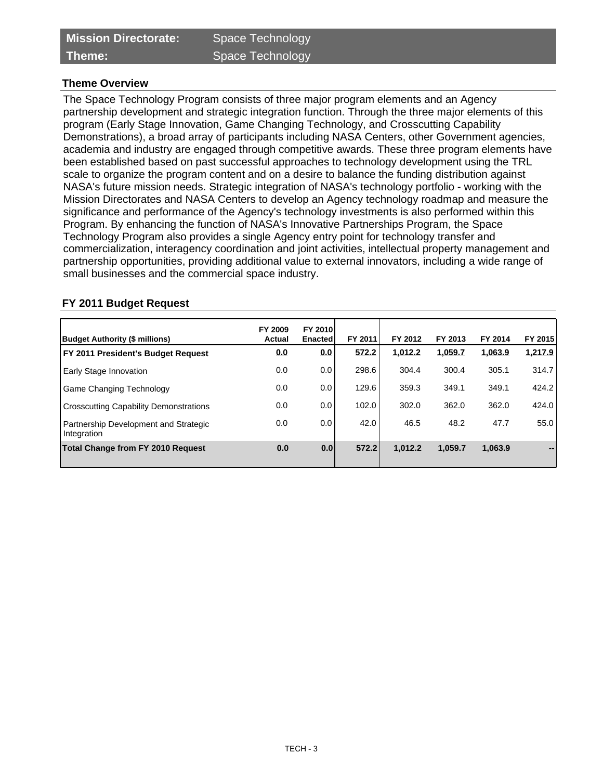# **Theme Overview**

The Space Technology Program consists of three major program elements and an Agency partnership development and strategic integration function. Through the three major elements of this program (Early Stage Innovation, Game Changing Technology, and Crosscutting Capability Demonstrations), a broad array of participants including NASA Centers, other Government agencies, academia and industry are engaged through competitive awards. These three program elements have been established based on past successful approaches to technology development using the TRL scale to organize the program content and on a desire to balance the funding distribution against NASA's future mission needs. Strategic integration of NASA's technology portfolio - working with the Mission Directorates and NASA Centers to develop an Agency technology roadmap and measure the significance and performance of the Agency's technology investments is also performed within this Program. By enhancing the function of NASA's Innovative Partnerships Program, the Space Technology Program also provides a single Agency entry point for technology transfer and commercialization, interagency coordination and joint activities, intellectual property management and partnership opportunities, providing additional value to external innovators, including a wide range of small businesses and the commercial space industry.

| Budget Authority (\$ millions)                       | FY 2009<br><b>Actual</b> | <b>FY 2010</b><br>Enacted | FY 2011 | FY 2012 | FY 2013 | FY 2014 | FY 2015 |
|------------------------------------------------------|--------------------------|---------------------------|---------|---------|---------|---------|---------|
| FY 2011 President's Budget Request                   | <u>0.0</u>               | <u>0.0</u>                | 572.2   | 1,012.2 | 1,059.7 | 1,063.9 | 1,217.9 |
| Early Stage Innovation                               | 0.0                      | 0.0                       | 298.6   | 304.4   | 300.4   | 305.1   | 314.7   |
| Game Changing Technology                             | 0.0                      | 0.0                       | 129.6   | 359.3   | 349.1   | 349.1   | 424.2   |
| <b>Crosscutting Capability Demonstrations</b>        | 0.0                      | 0.0                       | 102.0   | 302.0   | 362.0   | 362.0   | 424.0   |
| Partnership Development and Strategic<br>Integration | 0.0                      | 0.0                       | 42.0    | 46.5    | 48.2    | 47.7    | 55.0    |
| <b>Total Change from FY 2010 Request</b>             | 0.0                      | 0.0                       | 572.2   | 1.012.2 | 1.059.7 | 1,063.9 |         |

#### **FY 2011 Budget Request**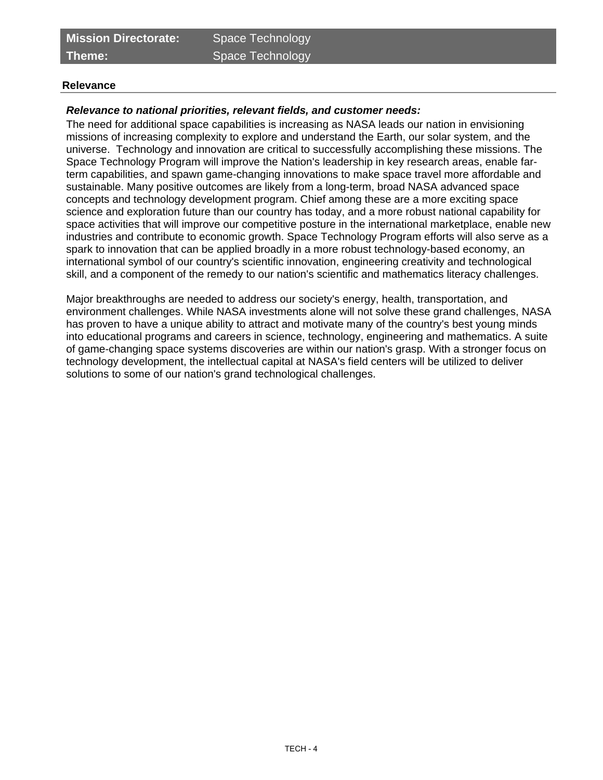**Theme:** Space Technology

#### **Relevance**

# **Relevance to national priorities, relevant fields, and customer needs:**

The need for additional space capabilities is increasing as NASA leads our nation in envisioning missions of increasing complexity to explore and understand the Earth, our solar system, and the universe. Technology and innovation are critical to successfully accomplishing these missions. The Space Technology Program will improve the Nation's leadership in key research areas, enable farterm capabilities, and spawn game-changing innovations to make space travel more affordable and sustainable. Many positive outcomes are likely from a long-term, broad NASA advanced space concepts and technology development program. Chief among these are a more exciting space science and exploration future than our country has today, and a more robust national capability for space activities that will improve our competitive posture in the international marketplace, enable new industries and contribute to economic growth. Space Technology Program efforts will also serve as a spark to innovation that can be applied broadly in a more robust technology-based economy, an international symbol of our country's scientific innovation, engineering creativity and technological skill, and a component of the remedy to our nation's scientific and mathematics literacy challenges.

Major breakthroughs are needed to address our society's energy, health, transportation, and environment challenges. While NASA investments alone will not solve these grand challenges, NASA has proven to have a unique ability to attract and motivate many of the country's best young minds into educational programs and careers in science, technology, engineering and mathematics. A suite of game-changing space systems discoveries are within our nation's grasp. With a stronger focus on technology development, the intellectual capital at NASA's field centers will be utilized to deliver solutions to some of our nation's grand technological challenges.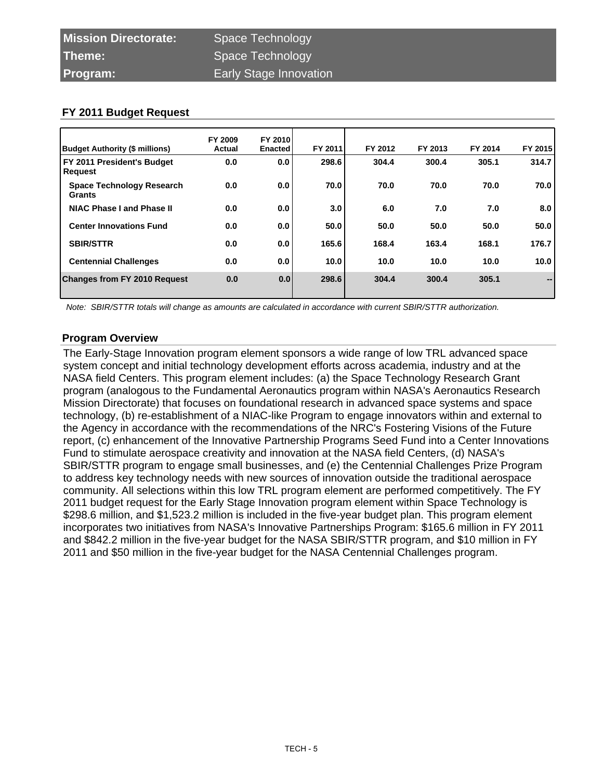| Budget Authority (\$ millions)                    | FY 2009<br>Actual | FY 2010<br><b>Enacted</b> | FY 2011 | FY 2012 | FY 2013 | FY 2014 | FY 2015                      |
|---------------------------------------------------|-------------------|---------------------------|---------|---------|---------|---------|------------------------------|
| FY 2011 President's Budget<br>Request             | 0.0               | 0.0                       | 298.6   | 304.4   | 300.4   | 305.1   | 314.7                        |
| <b>Space Technology Research</b><br><b>Grants</b> | 0.0               | 0.0                       | 70.0    | 70.0    | 70.0    | 70.0    | 70.0                         |
| NIAC Phase I and Phase II                         | 0.0               | 0.0                       | 3.0     | 6.0     | 7.0     | 7.0     | 8.0                          |
| <b>Center Innovations Fund</b>                    | 0.0               | 0.0                       | 50.0    | 50.0    | 50.0    | 50.0    | 50.0                         |
| <b>SBIR/STTR</b>                                  | 0.0               | 0.0                       | 165.6   | 168.4   | 163.4   | 168.1   | 176.7                        |
| <b>Centennial Challenges</b>                      | 0.0               | 0.0                       | 10.0    | 10.0    | 10.0    | 10.0    | 10.0                         |
| <b>Changes from FY 2010 Request</b>               | 0.0               | 0.0                       | 298.6   | 304.4   | 300.4   | 305.1   | $\qquad \qquad \blacksquare$ |

Note: SBIR/STTR totals will change as amounts are calculated in accordance with current SBIR/STTR authorization.

## **Program Overview**

The Early-Stage Innovation program element sponsors a wide range of low TRL advanced space system concept and initial technology development efforts across academia, industry and at the NASA field Centers. This program element includes: (a) the Space Technology Research Grant program (analogous to the Fundamental Aeronautics program within NASA's Aeronautics Research Mission Directorate) that focuses on foundational research in advanced space systems and space technology, (b) re-establishment of a NIAC-like Program to engage innovators within and external to the Agency in accordance with the recommendations of the NRC's Fostering Visions of the Future report, (c) enhancement of the Innovative Partnership Programs Seed Fund into a Center Innovations Fund to stimulate aerospace creativity and innovation at the NASA field Centers, (d) NASA's SBIR/STTR program to engage small businesses, and (e) the Centennial Challenges Prize Program to address key technology needs with new sources of innovation outside the traditional aerospace community. All selections within this low TRL program element are performed competitively. The FY 2011 budget request for the Early Stage Innovation program element within Space Technology is \$298.6 million, and \$1,523.2 million is included in the five-year budget plan. This program element incorporates two initiatives from NASA's Innovative Partnerships Program: \$165.6 million in FY 2011 and \$842.2 million in the five-year budget for the NASA SBIR/STTR program, and \$10 million in FY 2011 and \$50 million in the five-year budget for the NASA Centennial Challenges program.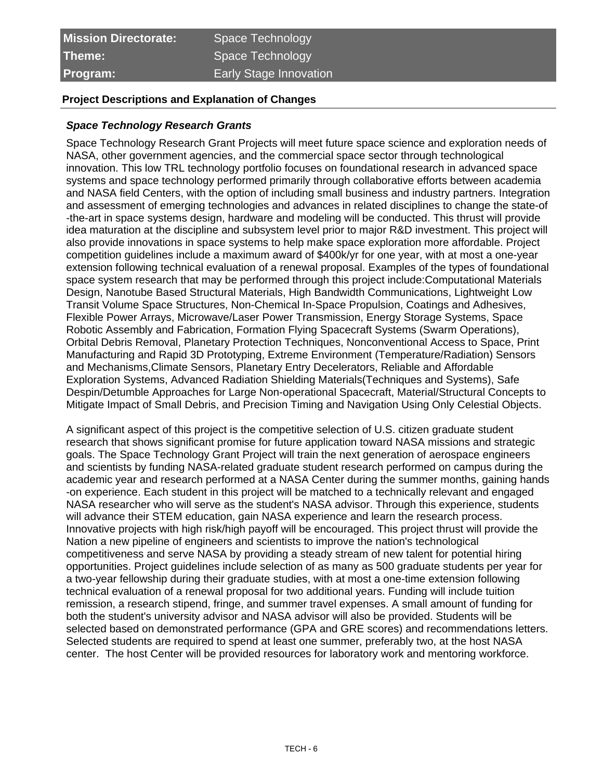## **Project Descriptions and Explanation of Changes**

#### **Space Technology Research Grants**

Space Technology Research Grant Projects will meet future space science and exploration needs of NASA, other government agencies, and the commercial space sector through technological innovation. This low TRL technology portfolio focuses on foundational research in advanced space systems and space technology performed primarily through collaborative efforts between academia and NASA field Centers, with the option of including small business and industry partners. Integration and assessment of emerging technologies and advances in related disciplines to change the state-of -the-art in space systems design, hardware and modeling will be conducted. This thrust will provide idea maturation at the discipline and subsystem level prior to major R&D investment. This project will also provide innovations in space systems to help make space exploration more affordable. Project competition guidelines include a maximum award of \$400k/yr for one year, with at most a one-year extension following technical evaluation of a renewal proposal. Examples of the types of foundational space system research that may be performed through this project include:Computational Materials Design, Nanotube Based Structural Materials, High Bandwidth Communications, Lightweight Low Transit Volume Space Structures, Non-Chemical In-Space Propulsion, Coatings and Adhesives, Flexible Power Arrays, Microwave/Laser Power Transmission, Energy Storage Systems, Space Robotic Assembly and Fabrication, Formation Flying Spacecraft Systems (Swarm Operations), Orbital Debris Removal, Planetary Protection Techniques, Nonconventional Access to Space, Print Manufacturing and Rapid 3D Prototyping, Extreme Environment (Temperature/Radiation) Sensors and Mechanisms, Climate Sensors, Planetary Entry Decelerators, Reliable and Affordable Exploration Systems, Advanced Radiation Shielding Materials(Techniques and Systems), Safe Despin/Detumble Approaches for Large Non-operational Spacecraft, Material/Structural Concepts to Mitigate Impact of Small Debris, and Precision Timing and Navigation Using Only Celestial Objects.

A significant aspect of this project is the competitive selection of U.S. citizen graduate student research that shows significant promise for future application toward NASA missions and strategic goals. The Space Technology Grant Project will train the next generation of aerospace engineers and scientists by funding NASA-related graduate student research performed on campus during the academic year and research performed at a NASA Center during the summer months, gaining hands -on experience. Each student in this project will be matched to a technically relevant and engaged NASA researcher who will serve as the student's NASA advisor. Through this experience, students will advance their STEM education, gain NASA experience and learn the research process. Innovative projects with high risk/high payoff will be encouraged. This project thrust will provide the Nation a new pipeline of engineers and scientists to improve the nation's technological competitiveness and serve NASA by providing a steady stream of new talent for potential hiring opportunities. Project guidelines include selection of as many as 500 graduate students per year for a two-year fellowship during their graduate studies, with at most a one-time extension following technical evaluation of a renewal proposal for two additional years. Funding will include tuition remission, a research stipend, fringe, and summer travel expenses. A small amount of funding for both the student's university advisor and NASA advisor will also be provided. Students will be selected based on demonstrated performance (GPA and GRE scores) and recommendations letters. Selected students are required to spend at least one summer, preferably two, at the host NASA center. The host Center will be provided resources for laboratory work and mentoring workforce.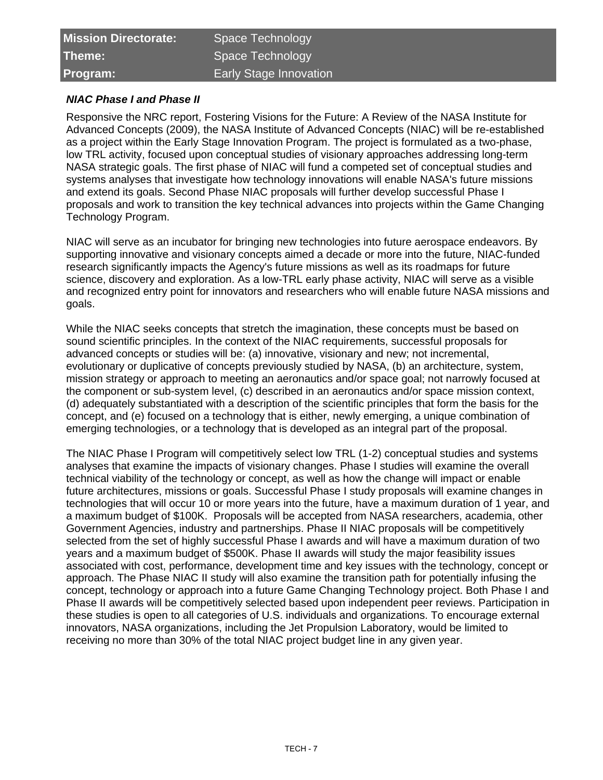| <b>Mission Directorate:</b> | Space Technology              |
|-----------------------------|-------------------------------|
| Theme:                      | Space Technology              |
| Program:                    | <b>Early Stage Innovation</b> |

# **NIAC Phase I and Phase II**

Responsive the NRC report, Fostering Visions for the Future: A Review of the NASA Institute for Advanced Concepts (2009), the NASA Institute of Advanced Concepts (NIAC) will be re-established as a project within the Early Stage Innovation Program. The project is formulated as a two-phase, low TRL activity, focused upon conceptual studies of visionary approaches addressing long-term NASA strategic goals. The first phase of NIAC will fund a competed set of conceptual studies and systems analyses that investigate how technology innovations will enable NASA's future missions and extend its goals. Second Phase NIAC proposals will further develop successful Phase I proposals and work to transition the key technical advances into projects within the Game Changing Technology Program.

NIAC will serve as an incubator for bringing new technologies into future aerospace endeavors. By supporting innovative and visionary concepts aimed a decade or more into the future, NIAC-funded research significantly impacts the Agency's future missions as well as its roadmaps for future science, discovery and exploration. As a low-TRL early phase activity, NIAC will serve as a visible and recognized entry point for innovators and researchers who will enable future NASA missions and goals.

While the NIAC seeks concepts that stretch the imagination, these concepts must be based on sound scientific principles. In the context of the NIAC requirements, successful proposals for advanced concepts or studies will be: (a) innovative, visionary and new; not incremental, evolutionary or duplicative of concepts previously studied by NASA, (b) an architecture, system, mission strategy or approach to meeting an aeronautics and/or space goal; not narrowly focused at the component or sub-system level, (c) described in an aeronautics and/or space mission context, (d) adequately substantiated with a description of the scientific principles that form the basis for the concept, and (e) focused on a technology that is either, newly emerging, a unique combination of emerging technologies, or a technology that is developed as an integral part of the proposal.

The NIAC Phase I Program will competitively select low TRL (1-2) conceptual studies and systems analyses that examine the impacts of visionary changes. Phase I studies will examine the overall technical viability of the technology or concept, as well as how the change will impact or enable future architectures, missions or goals. Successful Phase I study proposals will examine changes in technologies that will occur 10 or more years into the future, have a maximum duration of 1 year, and a maximum budget of \$100K. Proposals will be accepted from NASA researchers, academia, other Government Agencies, industry and partnerships. Phase II NIAC proposals will be competitively selected from the set of highly successful Phase I awards and will have a maximum duration of two years and a maximum budget of \$500K. Phase II awards will study the major feasibility issues associated with cost, performance, development time and key issues with the technology, concept or approach. The Phase NIAC II study will also examine the transition path for potentially infusing the concept, technology or approach into a future Game Changing Technology project. Both Phase I and Phase II awards will be competitively selected based upon independent peer reviews. Participation in these studies is open to all categories of U.S. individuals and organizations. To encourage external innovators, NASA organizations, including the Jet Propulsion Laboratory, would be limited to receiving no more than 30% of the total NIAC project budget line in any given year.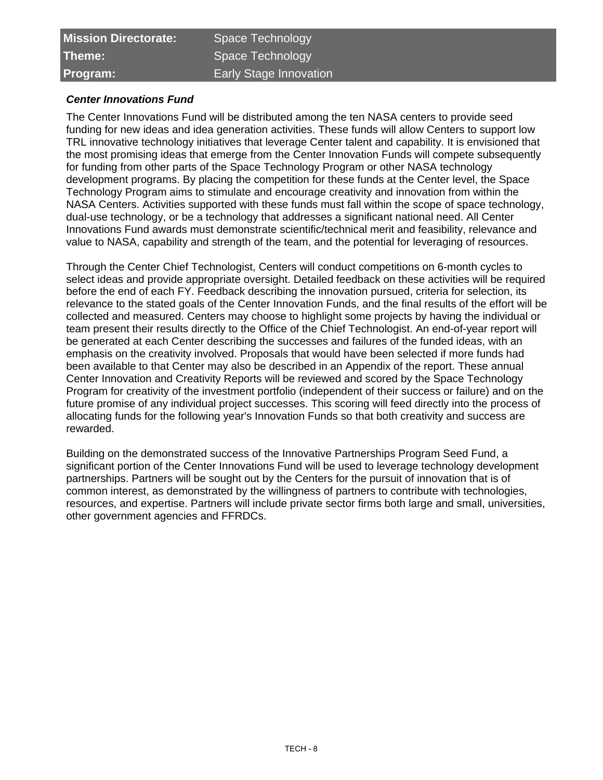| <b>Mission Directorate:</b> | Space Technology              |
|-----------------------------|-------------------------------|
| Theme:                      | Space Technology              |
| <b>Program:</b>             | <b>Early Stage Innovation</b> |

# **Center Innovations Fund**

The Center Innovations Fund will be distributed among the ten NASA centers to provide seed funding for new ideas and idea generation activities. These funds will allow Centers to support low TRL innovative technology initiatives that leverage Center talent and capability. It is envisioned that the most promising ideas that emerge from the Center Innovation Funds will compete subsequently for funding from other parts of the Space Technology Program or other NASA technology development programs. By placing the competition for these funds at the Center level, the Space Technology Program aims to stimulate and encourage creativity and innovation from within the NASA Centers. Activities supported with these funds must fall within the scope of space technology, dual-use technology, or be a technology that addresses a significant national need. All Center Innovations Fund awards must demonstrate scientific/technical merit and feasibility, relevance and value to NASA, capability and strength of the team, and the potential for leveraging of resources.

Through the Center Chief Technologist, Centers will conduct competitions on 6-month cycles to select ideas and provide appropriate oversight. Detailed feedback on these activities will be required before the end of each FY. Feedback describing the innovation pursued, criteria for selection, its relevance to the stated goals of the Center Innovation Funds, and the final results of the effort will be collected and measured. Centers may choose to highlight some projects by having the individual or team present their results directly to the Office of the Chief Technologist. An end-of-year report will be generated at each Center describing the successes and failures of the funded ideas, with an emphasis on the creativity involved. Proposals that would have been selected if more funds had been available to that Center may also be described in an Appendix of the report. These annual Center Innovation and Creativity Reports will be reviewed and scored by the Space Technology Program for creativity of the investment portfolio (independent of their success or failure) and on the future promise of any individual project successes. This scoring will feed directly into the process of allocating funds for the following year's Innovation Funds so that both creativity and success are rewarded.

Building on the demonstrated success of the Innovative Partnerships Program Seed Fund, a significant portion of the Center Innovations Fund will be used to leverage technology development partnerships. Partners will be sought out by the Centers for the pursuit of innovation that is of common interest, as demonstrated by the willingness of partners to contribute with technologies, resources, and expertise. Partners will include private sector firms both large and small, universities, other government agencies and FFRDCs.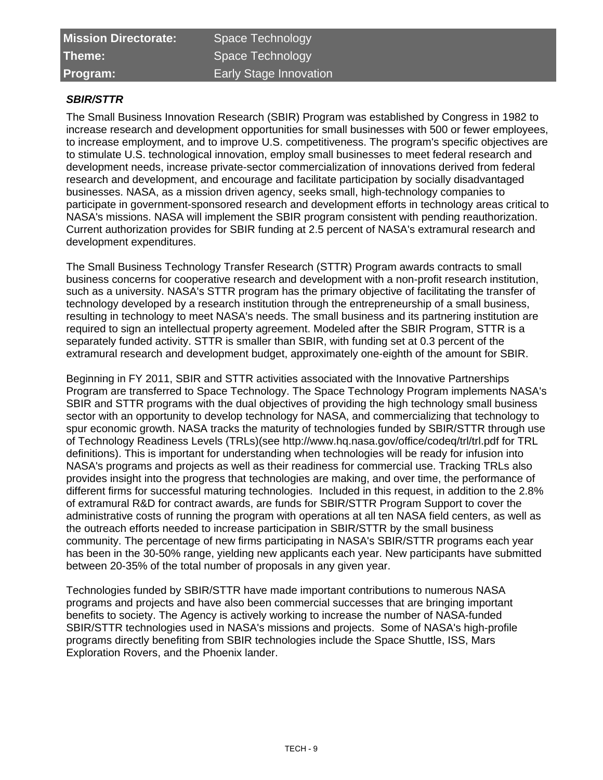| <b>Mission Directorate:</b> |  |
|-----------------------------|--|
| Theme:                      |  |
| Program:                    |  |

# Space Technology Space Technology **Early Stage Innovation**

# **SBIR/STTR**

The Small Business Innovation Research (SBIR) Program was established by Congress in 1982 to increase research and development opportunities for small businesses with 500 or fewer employees, to increase employment, and to improve U.S. competitiveness. The program's specific objectives are to stimulate U.S. technological innovation, employ small businesses to meet federal research and development needs, increase private-sector commercialization of innovations derived from federal research and development, and encourage and facilitate participation by socially disadvantaged businesses. NASA, as a mission driven agency, seeks small, high-technology companies to participate in government-sponsored research and development efforts in technology areas critical to NASA's missions. NASA will implement the SBIR program consistent with pending reauthorization. Current authorization provides for SBIR funding at 2.5 percent of NASA's extramural research and development expenditures.

The Small Business Technology Transfer Research (STTR) Program awards contracts to small business concerns for cooperative research and development with a non-profit research institution, such as a university. NASA's STTR program has the primary objective of facilitating the transfer of technology developed by a research institution through the entrepreneurship of a small business, resulting in technology to meet NASA's needs. The small business and its partnering institution are required to sign an intellectual property agreement. Modeled after the SBIR Program, STTR is a separately funded activity. STTR is smaller than SBIR, with funding set at 0.3 percent of the extramural research and development budget, approximately one-eighth of the amount for SBIR.

Beginning in FY 2011, SBIR and STTR activities associated with the Innovative Partnerships Program are transferred to Space Technology. The Space Technology Program implements NASA's SBIR and STTR programs with the dual objectives of providing the high technology small business sector with an opportunity to develop technology for NASA, and commercializing that technology to spur economic growth. NASA tracks the maturity of technologies funded by SBIR/STTR through use of Technology Readiness Levels (TRLs)(see http://www.hq.nasa.gov/office/codeq/trl/trl.pdf for TRL definitions). This is important for understanding when technologies will be ready for infusion into NASA's programs and projects as well as their readiness for commercial use. Tracking TRLs also provides insight into the progress that technologies are making, and over time, the performance of different firms for successful maturing technologies. Included in this request, in addition to the 2.8% of extramural R&D for contract awards, are funds for SBIR/STTR Program Support to cover the administrative costs of running the program with operations at all ten NASA field centers, as well as the outreach efforts needed to increase participation in SBIR/STTR by the small business community. The percentage of new firms participating in NASA's SBIR/STTR programs each year has been in the 30-50% range, yielding new applicants each year. New participants have submitted between 20-35% of the total number of proposals in any given year.

Technologies funded by SBIR/STTR have made important contributions to numerous NASA programs and projects and have also been commercial successes that are bringing important benefits to society. The Agency is actively working to increase the number of NASA-funded SBIR/STTR technologies used in NASA's missions and projects. Some of NASA's high-profile programs directly benefiting from SBIR technologies include the Space Shuttle, ISS, Mars Exploration Rovers, and the Phoenix lander.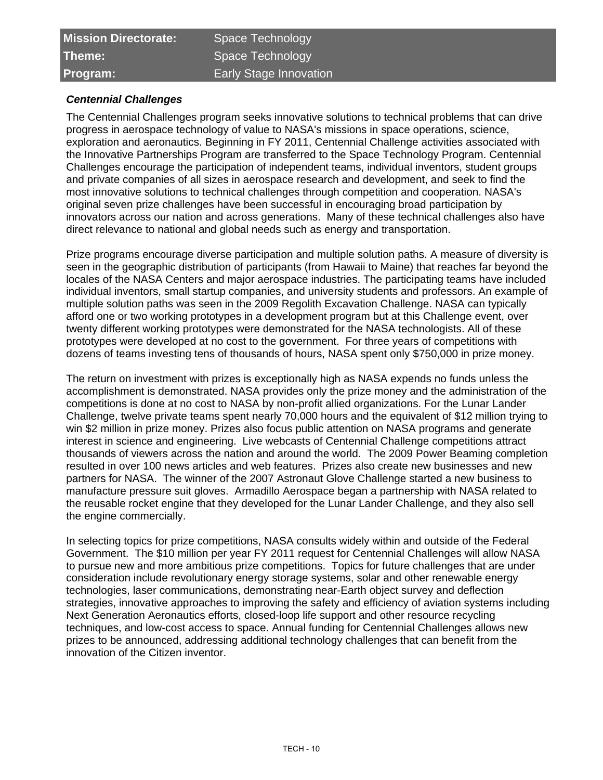| <b>Mission Directorate:</b> | Space Technology              |
|-----------------------------|-------------------------------|
| Theme:                      | Space Technology              |
| <b>Program:</b>             | <b>Early Stage Innovation</b> |

# **Centennial Challenges**

The Centennial Challenges program seeks innovative solutions to technical problems that can drive progress in aerospace technology of value to NASA's missions in space operations, science, exploration and aeronautics. Beginning in FY 2011, Centennial Challenge activities associated with the Innovative Partnerships Program are transferred to the Space Technology Program. Centennial Challenges encourage the participation of independent teams, individual inventors, student groups and private companies of all sizes in aerospace research and development, and seek to find the most innovative solutions to technical challenges through competition and cooperation. NASA's original seven prize challenges have been successful in encouraging broad participation by innovators across our nation and across generations. Many of these technical challenges also have direct relevance to national and global needs such as energy and transportation.

Prize programs encourage diverse participation and multiple solution paths. A measure of diversity is seen in the geographic distribution of participants (from Hawaii to Maine) that reaches far beyond the locales of the NASA Centers and major aerospace industries. The participating teams have included individual inventors, small startup companies, and university students and professors. An example of multiple solution paths was seen in the 2009 Regolith Excavation Challenge. NASA can typically afford one or two working prototypes in a development program but at this Challenge event, over twenty different working prototypes were demonstrated for the NASA technologists. All of these prototypes were developed at no cost to the government. For three years of competitions with dozens of teams investing tens of thousands of hours, NASA spent only \$750,000 in prize money.

The return on investment with prizes is exceptionally high as NASA expends no funds unless the accomplishment is demonstrated. NASA provides only the prize money and the administration of the competitions is done at no cost to NASA by non-profit allied organizations. For the Lunar Lander Challenge, twelve private teams spent nearly 70,000 hours and the equivalent of \$12 million trying to win \$2 million in prize money. Prizes also focus public attention on NASA programs and generate interest in science and engineering. Live webcasts of Centennial Challenge competitions attract thousands of viewers across the nation and around the world. The 2009 Power Beaming completion resulted in over 100 news articles and web features. Prizes also create new businesses and new partners for NASA. The winner of the 2007 Astronaut Glove Challenge started a new business to manufacture pressure suit gloves. Armadillo Aerospace began a partnership with NASA related to the reusable rocket engine that they developed for the Lunar Lander Challenge, and they also sell the engine commercially.

In selecting topics for prize competitions, NASA consults widely within and outside of the Federal Government. The \$10 million per year FY 2011 request for Centennial Challenges will allow NASA to pursue new and more ambitious prize competitions. Topics for future challenges that are under consideration include revolutionary energy storage systems, solar and other renewable energy technologies, laser communications, demonstrating near-Earth object survey and deflection strategies, innovative approaches to improving the safety and efficiency of aviation systems including Next Generation Aeronautics efforts, closed-loop life support and other resource recycling techniques, and low-cost access to space. Annual funding for Centennial Challenges allows new prizes to be announced, addressing additional technology challenges that can benefit from the innovation of the Citizen inventor.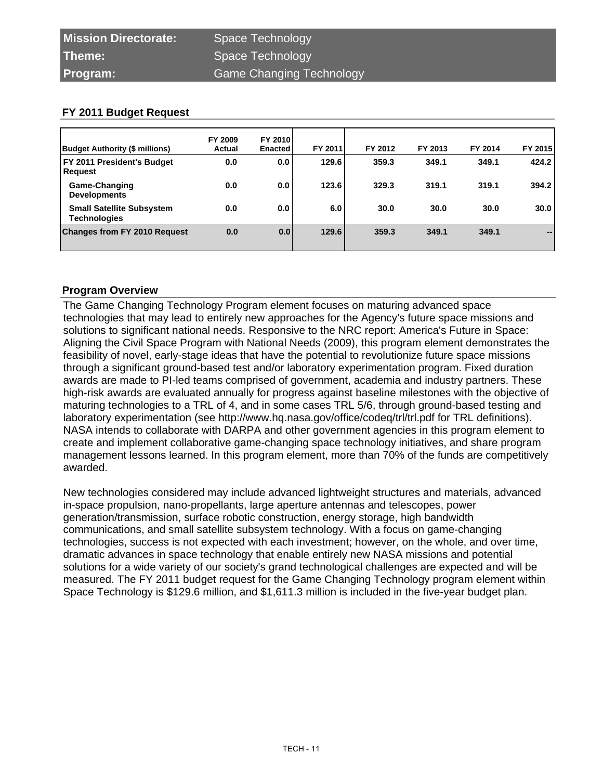| <b>Budget Authority (\$ millions)</b>                   | FY 2009<br>Actual | <b>FY 2010</b><br><b>Enacted</b> | FY 2011 | FY 2012 | FY 2013 | FY 2014 | FY 2015                  |
|---------------------------------------------------------|-------------------|----------------------------------|---------|---------|---------|---------|--------------------------|
| FY 2011 President's Budget<br>Request                   | 0.0               | 0.0                              | 129.6   | 359.3   | 349.1   | 349.1   | 424.2                    |
| <b>Game-Changing</b><br><b>Developments</b>             | 0.0               | 0.0                              | 123.6   | 329.3   | 319.1   | 319.1   | 394.2                    |
| <b>Small Satellite Subsystem</b><br><b>Technologies</b> | 0.0               | 0.0                              | 6.0     | 30.0    | 30.0    | 30.0    | 30.0                     |
| <b>Changes from FY 2010 Request</b>                     | 0.0               | 0.0 <sub>1</sub>                 | 129.6   | 359.3   | 349.1   | 349.1   | $\overline{\phantom{a}}$ |

# **Program Overview**

The Game Changing Technology Program element focuses on maturing advanced space technologies that may lead to entirely new approaches for the Agency's future space missions and solutions to significant national needs. Responsive to the NRC report: America's Future in Space: Aligning the Civil Space Program with National Needs (2009), this program element demonstrates the feasibility of novel, early-stage ideas that have the potential to revolutionize future space missions through a significant ground-based test and/or laboratory experimentation program. Fixed duration awards are made to PI-led teams comprised of government, academia and industry partners. These high-risk awards are evaluated annually for progress against baseline milestones with the objective of maturing technologies to a TRL of 4, and in some cases TRL 5/6, through ground-based testing and laboratory experimentation (see http://www.hq.nasa.gov/office/codeq/trl/trl.pdf for TRL definitions). NASA intends to collaborate with DARPA and other government agencies in this program element to create and implement collaborative game-changing space technology initiatives, and share program management lessons learned. In this program element, more than 70% of the funds are competitively awarded.

New technologies considered may include advanced lightweight structures and materials, advanced in-space propulsion, nano-propellants, large aperture antennas and telescopes, power generation/transmission, surface robotic construction, energy storage, high bandwidth communications, and small satellite subsystem technology. With a focus on game-changing technologies, success is not expected with each investment; however, on the whole, and over time, dramatic advances in space technology that enable entirely new NASA missions and potential solutions for a wide variety of our society's grand technological challenges are expected and will be measured. The FY 2011 budget request for the Game Changing Technology program element within Space Technology is \$129.6 million, and \$1,611.3 million is included in the five-year budget plan.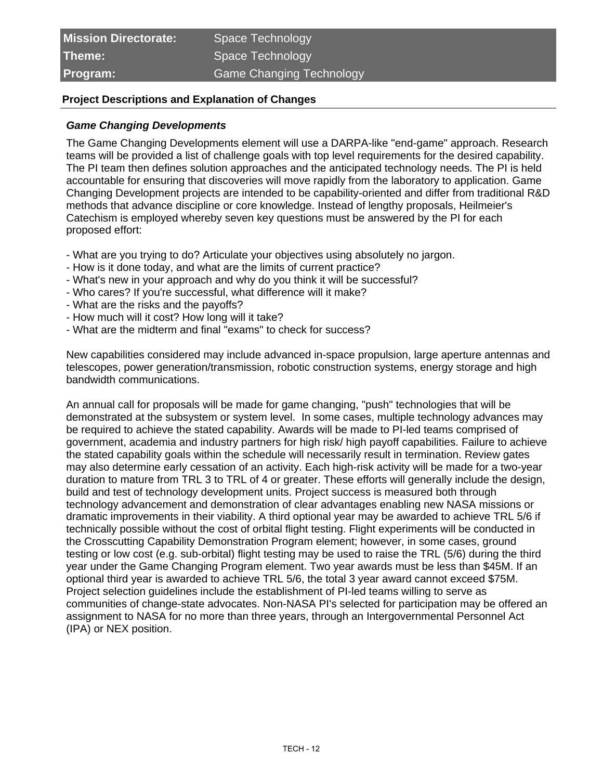| <b>Mission Directorate:</b> | Space Technology         |
|-----------------------------|--------------------------|
| Theme:                      | Space Technology         |
| Program:                    | Game Changing Technology |

## **Project Descriptions and Explanation of Changes**

#### **Game Changing Developments**

The Game Changing Developments element will use a DARPA-like "end-game" approach. Research teams will be provided a list of challenge goals with top level requirements for the desired capability. The PI team then defines solution approaches and the anticipated technology needs. The PI is held accountable for ensuring that discoveries will move rapidly from the laboratory to application. Game Changing Development projects are intended to be capability-oriented and differ from traditional R&D methods that advance discipline or core knowledge. Instead of lengthy proposals, Heilmeier's Catechism is employed whereby seven key questions must be answered by the PI for each proposed effort:

- What are you trying to do? Articulate your objectives using absolutely no jargon.
- How is it done today, and what are the limits of current practice?
- What's new in your approach and why do you think it will be successful?
- Who cares? If you're successful, what difference will it make?
- What are the risks and the payoffs?
- How much will it cost? How long will it take?
- What are the midterm and final "exams" to check for success?

New capabilities considered may include advanced in-space propulsion, large aperture antennas and telescopes, power generation/transmission, robotic construction systems, energy storage and high bandwidth communications.

An annual call for proposals will be made for game changing, "push" technologies that will be demonstrated at the subsystem or system level. In some cases, multiple technology advances may be required to achieve the stated capability. Awards will be made to PI-led teams comprised of government, academia and industry partners for high risk/ high payoff capabilities. Failure to achieve the stated capability goals within the schedule will necessarily result in termination. Review gates may also determine early cessation of an activity. Each high-risk activity will be made for a two-year duration to mature from TRL 3 to TRL of 4 or greater. These efforts will generally include the design, build and test of technology development units. Project success is measured both through technology advancement and demonstration of clear advantages enabling new NASA missions or dramatic improvements in their viability. A third optional year may be awarded to achieve TRL 5/6 if technically possible without the cost of orbital flight testing. Flight experiments will be conducted in the Crosscutting Capability Demonstration Program element; however, in some cases, ground testing or low cost (e.g. sub-orbital) flight testing may be used to raise the TRL (5/6) during the third year under the Game Changing Program element. Two year awards must be less than \$45M. If an optional third year is awarded to achieve TRL 5/6, the total 3 year award cannot exceed \$75M. Project selection guidelines include the establishment of PI-led teams willing to serve as communities of change-state advocates. Non-NASA PI's selected for participation may be offered an assignment to NASA for no more than three years, through an Intergovernmental Personnel Act (IPA) or NEX position.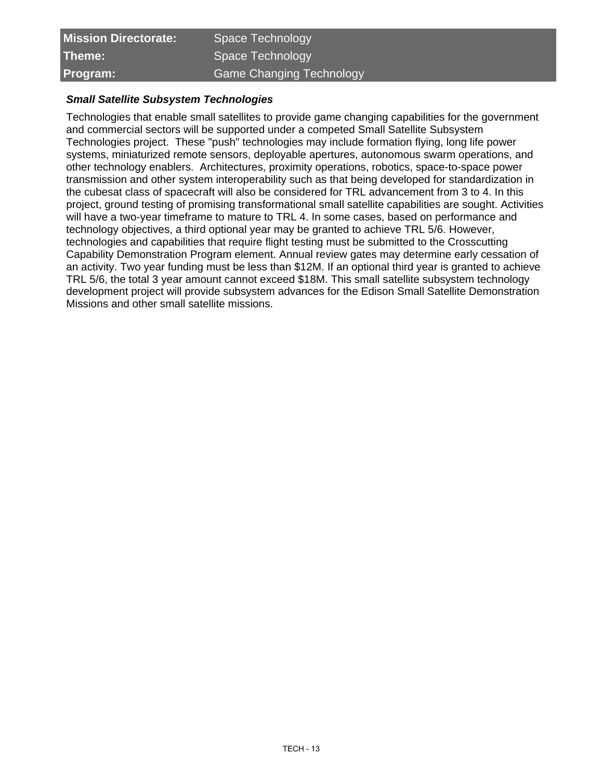| <b>Mission Directorate:</b> | Space Technology                |
|-----------------------------|---------------------------------|
| Theme:                      | Space Technology                |
| Program:                    | <b>Game Changing Technology</b> |

#### **Small Satellite Subsystem Technologies**

Technologies that enable small satellites to provide game changing capabilities for the government and commercial sectors will be supported under a competed Small Satellite Subsystem Technologies project. These "push" technologies may include formation flying, long life power systems, miniaturized remote sensors, deployable apertures, autonomous swarm operations, and other technology enablers. Architectures, proximity operations, robotics, space-to-space power transmission and other system interoperability such as that being developed for standardization in the cubesat class of spacecraft will also be considered for TRL advancement from 3 to 4. In this project, ground testing of promising transformational small satellite capabilities are sought. Activities will have a two-year timeframe to mature to TRL 4. In some cases, based on performance and technology objectives, a third optional year may be granted to achieve TRL 5/6. However, technologies and capabilities that require flight testing must be submitted to the Crosscutting Capability Demonstration Program element. Annual review gates may determine early cessation of an activity. Two year funding must be less than \$12M. If an optional third year is granted to achieve TRL 5/6, the total 3 year amount cannot exceed \$18M. This small satellite subsystem technology development project will provide subsystem advances for the Edison Small Satellite Demonstration Missions and other small satellite missions.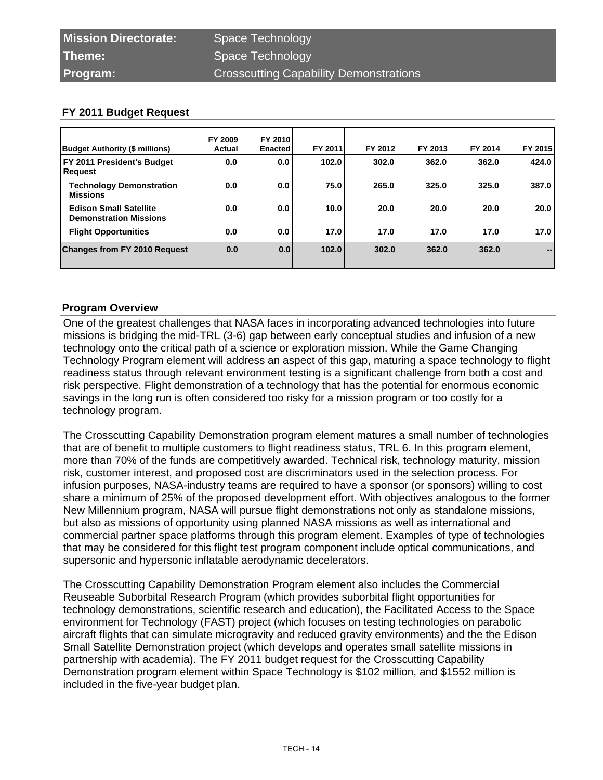| Budget Authority (\$ millions)                                 | FY 2009<br>Actual | <b>FY 2010</b><br><b>Enacted</b> | FY 2011 | FY 2012 | FY 2013 | FY 2014 | FY 2015                      |
|----------------------------------------------------------------|-------------------|----------------------------------|---------|---------|---------|---------|------------------------------|
| FY 2011 President's Budget<br>Request                          | 0.0               | 0.0                              | 102.0   | 302.0   | 362.0   | 362.0   | 424.0                        |
| <b>Technology Demonstration</b><br><b>Missions</b>             | 0.0               | 0.0                              | 75.0    | 265.0   | 325.0   | 325.0   | 387.0                        |
| <b>Edison Small Satellite</b><br><b>Demonstration Missions</b> | 0.0               | 0.0                              | 10.0    | 20.0    | 20.0    | 20.0    | 20.0                         |
| <b>Flight Opportunities</b>                                    | 0.0               | 0.0                              | 17.0    | 17.0    | 17.0    | 17.0    | 17.0                         |
| <b>Changes from FY 2010 Request</b>                            | 0.0               | 0.01                             | 102.0   | 302.0   | 362.0   | 362.0   | $\qquad \qquad \blacksquare$ |

# **Program Overview**

One of the greatest challenges that NASA faces in incorporating advanced technologies into future missions is bridging the mid-TRL (3-6) gap between early conceptual studies and infusion of a new technology onto the critical path of a science or exploration mission. While the Game Changing Technology Program element will address an aspect of this gap, maturing a space technology to flight readiness status through relevant environment testing is a significant challenge from both a cost and risk perspective. Flight demonstration of a technology that has the potential for enormous economic savings in the long run is often considered too risky for a mission program or too costly for a technology program.

The Crosscutting Capability Demonstration program element matures a small number of technologies that are of benefit to multiple customers to flight readiness status, TRL 6. In this program element, more than 70% of the funds are competitively awarded. Technical risk, technology maturity, mission risk, customer interest, and proposed cost are discriminators used in the selection process. For infusion purposes, NASA-industry teams are required to have a sponsor (or sponsors) willing to cost share a minimum of 25% of the proposed development effort. With objectives analogous to the former New Millennium program, NASA will pursue flight demonstrations not only as standalone missions, but also as missions of opportunity using planned NASA missions as well as international and commercial partner space platforms through this program element. Examples of type of technologies that may be considered for this flight test program component include optical communications, and supersonic and hypersonic inflatable aerodynamic decelerators.

The Crosscutting Capability Demonstration Program element also includes the Commercial Reuseable Suborbital Research Program (which provides suborbital flight opportunities for technology demonstrations, scientific research and education), the Facilitated Access to the Space environment for Technology (FAST) project (which focuses on testing technologies on parabolic aircraft flights that can simulate microgravity and reduced gravity environments) and the the Edison Small Satellite Demonstration project (which develops and operates small satellite missions in partnership with academia). The FY 2011 budget request for the Crosscutting Capability Demonstration program element within Space Technology is \$102 million, and \$1552 million is included in the five-year budget plan.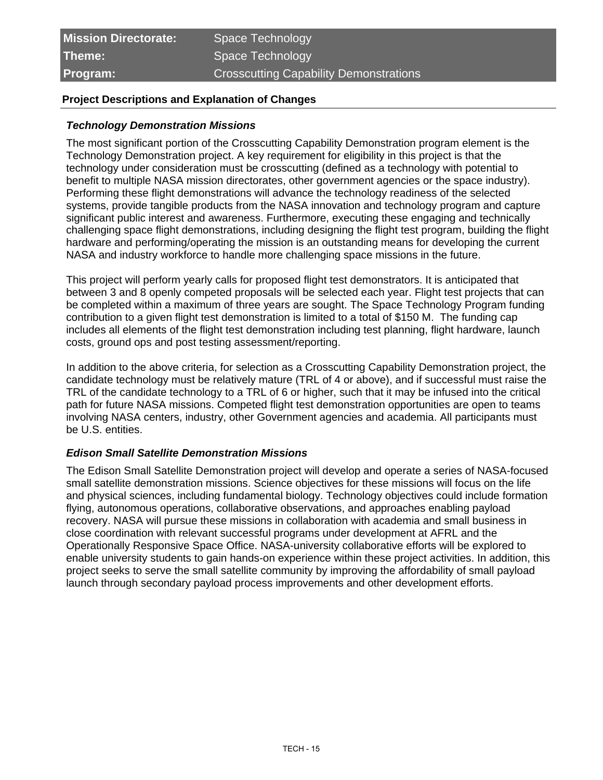| <b>Mission Directorate:</b> | Space Technology                              |
|-----------------------------|-----------------------------------------------|
| Theme:                      | Space Technology                              |
| Program:                    | <b>Crosscutting Capability Demonstrations</b> |

# **Project Descriptions and Explanation of Changes**

#### **Technology Demonstration Missions**

The most significant portion of the Crosscutting Capability Demonstration program element is the Technology Demonstration project. A key requirement for eligibility in this project is that the technology under consideration must be crosscutting (defined as a technology with potential to benefit to multiple NASA mission directorates, other government agencies or the space industry). Performing these flight demonstrations will advance the technology readiness of the selected systems, provide tangible products from the NASA innovation and technology program and capture significant public interest and awareness. Furthermore, executing these engaging and technically challenging space flight demonstrations, including designing the flight test program, building the flight hardware and performing/operating the mission is an outstanding means for developing the current NASA and industry workforce to handle more challenging space missions in the future.

This project will perform yearly calls for proposed flight test demonstrators. It is anticipated that between 3 and 8 openly competed proposals will be selected each year. Flight test projects that can be completed within a maximum of three years are sought. The Space Technology Program funding contribution to a given flight test demonstration is limited to a total of \$150 M. The funding cap includes all elements of the flight test demonstration including test planning, flight hardware, launch costs, ground ops and post testing assessment/reporting.

In addition to the above criteria, for selection as a Crosscutting Capability Demonstration project, the candidate technology must be relatively mature (TRL of 4 or above), and if successful must raise the TRL of the candidate technology to a TRL of 6 or higher, such that it may be infused into the critical path for future NASA missions. Competed flight test demonstration opportunities are open to teams involving NASA centers, industry, other Government agencies and academia. All participants must be U.S. entities.

#### **Edison Small Satellite Demonstration Missions**

The Edison Small Satellite Demonstration project will develop and operate a series of NASA-focused small satellite demonstration missions. Science objectives for these missions will focus on the life and physical sciences, including fundamental biology. Technology objectives could include formation flying, autonomous operations, collaborative observations, and approaches enabling payload recovery. NASA will pursue these missions in collaboration with academia and small business in close coordination with relevant successful programs under development at AFRL and the Operationally Responsive Space Office. NASA-university collaborative efforts will be explored to enable university students to gain hands-on experience within these project activities. In addition, this project seeks to serve the small satellite community by improving the affordability of small payload launch through secondary payload process improvements and other development efforts.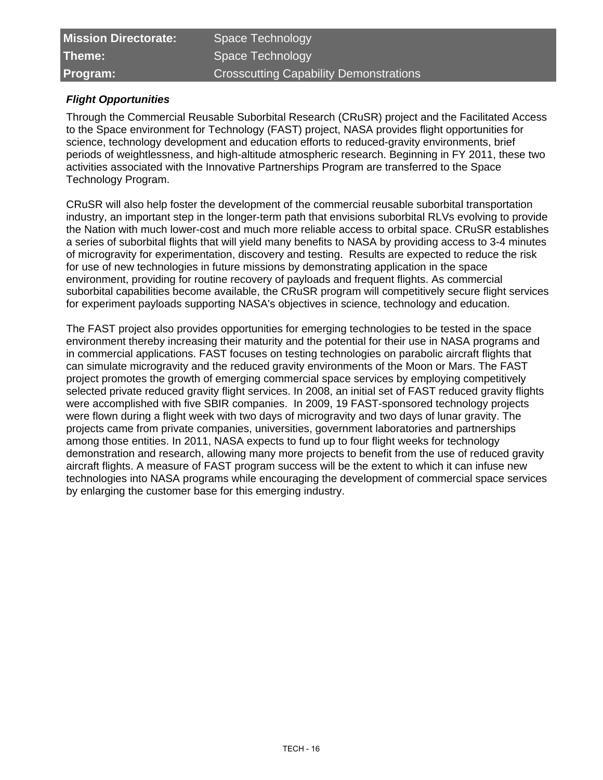| <b>Mission Directorate:</b> | Space Technology                              |
|-----------------------------|-----------------------------------------------|
| Theme:                      | Space Technology                              |
| Program:                    | <b>Crosscutting Capability Demonstrations</b> |

# **Flight Opportunities**

Through the Commercial Reusable Suborbital Research (CRuSR) project and the Facilitated Access to the Space environment for Technology (FAST) project, NASA provides flight opportunities for science, technology development and education efforts to reduced-gravity environments, brief periods of weightlessness, and high-altitude atmospheric research. Beginning in FY 2011, these two activities associated with the Innovative Partnerships Program are transferred to the Space Technology Program.

CRuSR will also help foster the development of the commercial reusable suborbital transportation industry, an important step in the longer-term path that envisions suborbital RLVs evolving to provide the Nation with much lower-cost and much more reliable access to orbital space. CRuSR establishes a series of suborbital flights that will yield many benefits to NASA by providing access to 3-4 minutes of microgravity for experimentation, discovery and testing. Results are expected to reduce the risk for use of new technologies in future missions by demonstrating application in the space environment, providing for routine recovery of payloads and frequent flights. As commercial suborbital capabilities become available, the CRuSR program will competitively secure flight services for experiment payloads supporting NASA's objectives in science, technology and education.

The FAST project also provides opportunities for emerging technologies to be tested in the space environment thereby increasing their maturity and the potential for their use in NASA programs and in commercial applications. FAST focuses on testing technologies on parabolic aircraft flights that can simulate microgravity and the reduced gravity environments of the Moon or Mars. The FAST project promotes the growth of emerging commercial space services by employing competitively selected private reduced gravity flight services. In 2008, an initial set of FAST reduced gravity flights were accomplished with five SBIR companies. In 2009, 19 FAST-sponsored technology projects were flown during a flight week with two days of microgravity and two days of lunar gravity. The projects came from private companies, universities, government laboratories and partnerships among those entities. In 2011, NASA expects to fund up to four flight weeks for technology demonstration and research, allowing many more projects to benefit from the use of reduced gravity aircraft flights. A measure of FAST program success will be the extent to which it can infuse new technologies into NASA programs while encouraging the development of commercial space services by enlarging the customer base for this emerging industry.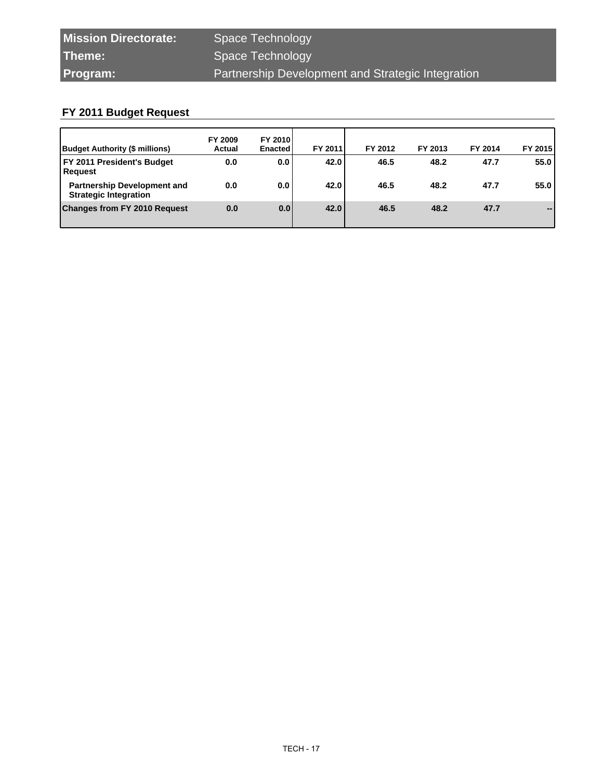| <b>Mission Directorate:</b> | Space Technology                                  |
|-----------------------------|---------------------------------------------------|
| Theme:                      | Space Technology                                  |
| <b>Program:</b>             | Partnership Development and Strategic Integration |

| Budget Authority (\$ millions)                                     | FY 2009<br>Actual | <b>FY 20101</b><br><b>Enacted</b> | FY 2011 | FY 2012 | FY 2013 | FY 2014 | FY 2015                  |
|--------------------------------------------------------------------|-------------------|-----------------------------------|---------|---------|---------|---------|--------------------------|
| FY 2011 President's Budget<br>Request                              | 0.0               | 0.0                               | 42.0    | 46.5    | 48.2    | 47.7    | 55.0                     |
| <b>Partnership Development and</b><br><b>Strategic Integration</b> | 0.0               | 0.0                               | 42.0    | 46.5    | 48.2    | 47.7    | 55.0                     |
| <b>Changes from FY 2010 Request</b>                                | 0.0               | 0.0                               | 42.0    | 46.5    | 48.2    | 47.7    | $\overline{\phantom{a}}$ |